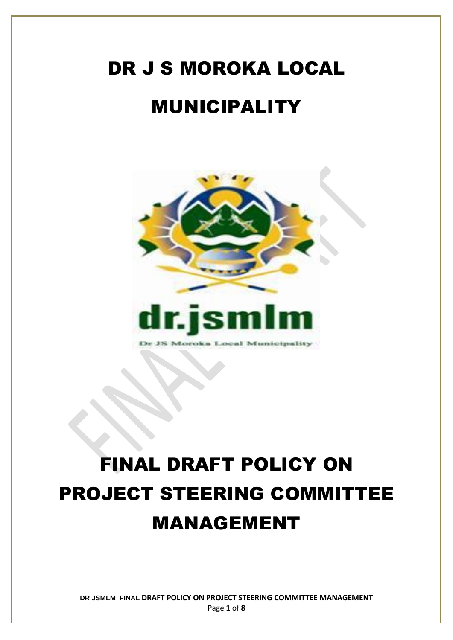# DR J S MOROKA LOCAL MUNICIPALITY



## FINAL DRAFT POLICY ON PROJECT STEERING COMMITTEE MANAGEMENT

**DR JSMLM FINAL DRAFT POLICY ON PROJECT STEERING COMMITTEE MANAGEMENT** Page **1** of **8**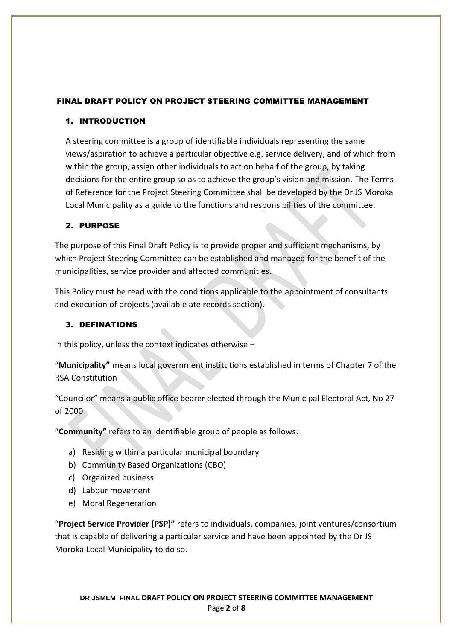#### FINAL DRAFT POLICY ON PROJECT STEERING COMMITTEE MANAGEMENT

#### 1. INTRODUCTION

A steering committee is a group of identifiable individuals representing the same views/aspiration to achieve a particular objective e.g. service delivery, and of which from within the group, assign other individuals to act on behalf of the group, by taking decisions for the entire group so as to achieve the group's vision and mission. The Terms of Reference for the Project Steering Committee shall be developed by the Dr JS Moroka Local Municipality as a guide to the functions and responsibilities of the committee.

#### 2. PURPOSE

The purpose of this Final Draft Policy is to provide proper and sufficient mechanisms, by which Project Steering Committee can be established and managed for the benefit of the municipalities, service provider and affected communities.

This Policy must be read with the conditions applicable to the appointment of consultants and execution of projects (available ate records section).

#### 3. DEFINATIONS

In this policy, unless the context indicates otherwise –

"**Municipality"** means local government institutions established in terms of Chapter 7 of the RSA Constitution

"Councilor" means a public office bearer elected through the Municipal Electoral Act, No 27 of 2000

"**Community"** refers to an identifiable group of people as follows:

- a) Residing within a particular municipal boundary
- b) Community Based Organizations (CBO)
- c) Organized business
- d) Labour movement
- e) Moral Regeneration

"**Project Service Provider (PSP)"** refers to individuals, companies, joint ventures/consortium that is capable of delivering a particular service and have been appointed by the Dr JS Moroka Local Municipality to do so.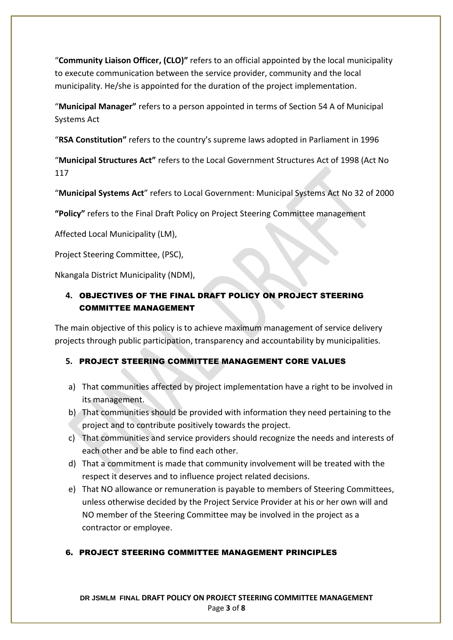"**Community Liaison Officer, (CLO)"** refers to an official appointed by the local municipality to execute communication between the service provider, community and the local municipality. He/she is appointed for the duration of the project implementation.

"**Municipal Manager"** refers to a person appointed in terms of Section 54 A of Municipal Systems Act

"**RSA Constitution"** refers to the country's supreme laws adopted in Parliament in 1996

"**Municipal Structures Act"** refers to the Local Government Structures Act of 1998 (Act No 117

"**Municipal Systems Act**" refers to Local Government: Municipal Systems Act No 32 of 2000

**"Policy"** refers to the Final Draft Policy on Project Steering Committee management

Affected Local Municipality (LM),

Project Steering Committee, (PSC),

Nkangala District Municipality (NDM),

## **4.** OBJECTIVES OF THE FINAL DRAFT POLICY ON PROJECT STEERING COMMITTEE MANAGEMENT

The main objective of this policy is to achieve maximum management of service delivery projects through public participation, transparency and accountability by municipalities.

## **5.** PROJECT STEERING COMMITTEE MANAGEMENT CORE VALUES

- a) That communities affected by project implementation have a right to be involved in its management.
- b) That communities should be provided with information they need pertaining to the project and to contribute positively towards the project.
- c) That communities and service providers should recognize the needs and interests of each other and be able to find each other.
- d) That a commitment is made that community involvement will be treated with the respect it deserves and to influence project related decisions.
- e) That NO allowance or remuneration is payable to members of Steering Committees, unless otherwise decided by the Project Service Provider at his or her own will and NO member of the Steering Committee may be involved in the project as a contractor or employee.

## 6. PROJECT STEERING COMMITTEE MANAGEMENT PRINCIPLES

**DR JSMLM FINAL DRAFT POLICY ON PROJECT STEERING COMMITTEE MANAGEMENT** Page **3** of **8**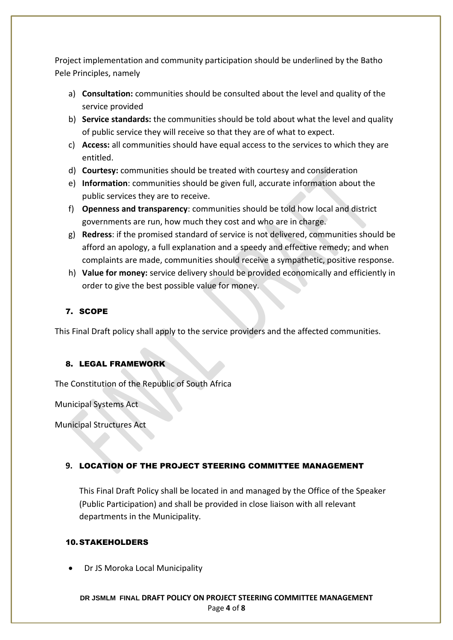Project implementation and community participation should be underlined by the Batho Pele Principles, namely

- a) **Consultation:** communities should be consulted about the level and quality of the service provided
- b) **Service standards:** the communities should be told about what the level and quality of public service they will receive so that they are of what to expect.
- c) **Access:** all communities should have equal access to the services to which they are entitled.
- d) **Courtesy:** communities should be treated with courtesy and consideration
- e) **Information**: communities should be given full, accurate information about the public services they are to receive.
- f) **Openness and transparency**: communities should be told how local and district governments are run, how much they cost and who are in charge.
- g) **Redress**: if the promised standard of service is not delivered, communities should be afford an apology, a full explanation and a speedy and effective remedy; and when complaints are made, communities should receive a sympathetic, positive response.
- h) **Value for money:** service delivery should be provided economically and efficiently in order to give the best possible value for money.

## 7. SCOPE

This Final Draft policy shall apply to the service providers and the affected communities.

#### 8. LEGAL FRAMEWORK

The Constitution of the Republic of South Africa

Municipal Systems Act

Municipal Structures Act

#### **9.** LOCATION OF THE PROJECT STEERING COMMITTEE MANAGEMENT

This Final Draft Policy shall be located in and managed by the Office of the Speaker (Public Participation) and shall be provided in close liaison with all relevant departments in the Municipality.

#### 10. STAKEHOLDERS

• Dr JS Moroka Local Municipality

**DR JSMLM FINAL DRAFT POLICY ON PROJECT STEERING COMMITTEE MANAGEMENT** Page **4** of **8**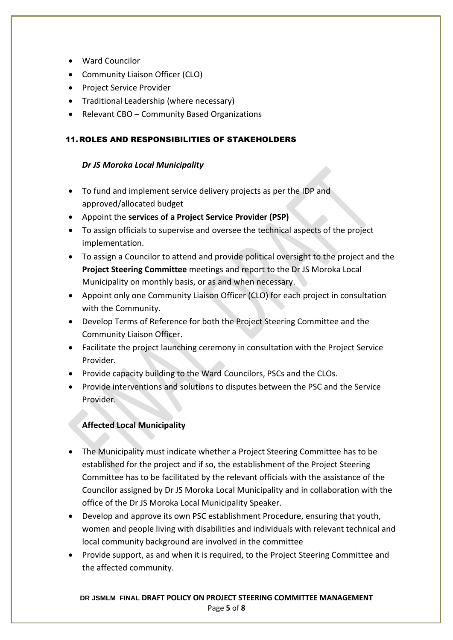- Ward Councilor
- Community Liaison Officer (CLO)
- Project Service Provider
- Traditional Leadership (where necessary)
- Relevant CBO Community Based Organizations

#### 11.ROLES AND RESPONSIBILITIES OF STAKEHOLDERS

#### *Dr JS Moroka Local Municipality*

- To fund and implement service delivery projects as per the IDP and approved/allocated budget
- Appoint the **services of a Project Service Provider (PSP)**
- To assign officials to supervise and oversee the technical aspects of the project implementation.
- To assign a Councilor to attend and provide political oversight to the project and the **Project Steering Committee** meetings and report to the Dr JS Moroka Local Municipality on monthly basis, or as and when necessary.
- Appoint only one Community Liaison Officer (CLO) for each project in consultation with the Community.
- Develop Terms of Reference for both the Project Steering Committee and the Community Liaison Officer.
- Facilitate the project launching ceremony in consultation with the Project Service Provider.
- Provide capacity building to the Ward Councilors, PSCs and the CLOs.
- Provide interventions and solutions to disputes between the PSC and the Service Provider.

## **Affected Local Municipality**

- The Municipality must indicate whether a Project Steering Committee has to be established for the project and if so, the establishment of the Project Steering Committee has to be facilitated by the relevant officials with the assistance of the Councilor assigned by Dr JS Moroka Local Municipality and in collaboration with the office of the Dr JS Moroka Local Municipality Speaker.
- Develop and approve its own PSC establishment Procedure, ensuring that youth, women and people living with disabilities and individuals with relevant technical and local community background are involved in the committee
- Provide support, as and when it is required, to the Project Steering Committee and the affected community.

#### **DR JSMLM FINAL DRAFT POLICY ON PROJECT STEERING COMMITTEE MANAGEMENT** Page **5** of **8**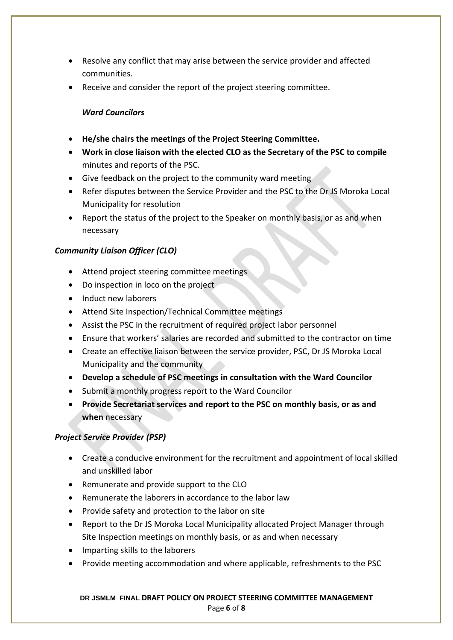- Resolve any conflict that may arise between the service provider and affected communities.
- Receive and consider the report of the project steering committee.

#### *Ward Councilors*

- **He/she chairs the meetings of the Project Steering Committee.**
- **Work in close liaison with the elected CLO as the Secretary of the PSC to compile** minutes and reports of the PSC.
- Give feedback on the project to the community ward meeting
- Refer disputes between the Service Provider and the PSC to the Dr JS Moroka Local Municipality for resolution
- Report the status of the project to the Speaker on monthly basis, or as and when necessary

## *Community Liaison Officer (CLO)*

- Attend project steering committee meetings
- Do inspection in loco on the project
- Induct new laborers
- Attend Site Inspection/Technical Committee meetings
- Assist the PSC in the recruitment of required project labor personnel
- Ensure that workers' salaries are recorded and submitted to the contractor on time
- Create an effective liaison between the service provider, PSC, Dr JS Moroka Local Municipality and the community
- **Develop a schedule of PSC meetings in consultation with the Ward Councilor**
- Submit a monthly progress report to the Ward Councilor
- **Provide Secretariat services and report to the PSC on monthly basis, or as and when** necessary

#### *Project Service Provider (PSP)*

- Create a conducive environment for the recruitment and appointment of local skilled and unskilled labor
- Remunerate and provide support to the CLO
- Remunerate the laborers in accordance to the labor law
- Provide safety and protection to the labor on site
- Report to the Dr JS Moroka Local Municipality allocated Project Manager through Site Inspection meetings on monthly basis, or as and when necessary
- Imparting skills to the laborers
- Provide meeting accommodation and where applicable, refreshments to the PSC

#### **DR JSMLM FINAL DRAFT POLICY ON PROJECT STEERING COMMITTEE MANAGEMENT** Page **6** of **8**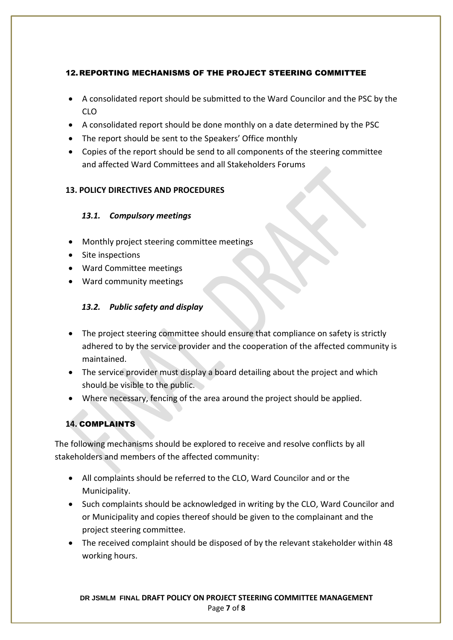#### 12.REPORTING MECHANISMS OF THE PROJECT STEERING COMMITTEE

- A consolidated report should be submitted to the Ward Councilor and the PSC by the CLO
- A consolidated report should be done monthly on a date determined by the PSC
- The report should be sent to the Speakers' Office monthly
- Copies of the report should be send to all components of the steering committee and affected Ward Committees and all Stakeholders Forums

## **13. POLICY DIRECTIVES AND PROCEDURES**

## *13.1. Compulsory meetings*

- Monthly project steering committee meetings
- Site inspections
- Ward Committee meetings
- Ward community meetings

## *13.2. Public safety and display*

- The project steering committee should ensure that compliance on safety is strictly adhered to by the service provider and the cooperation of the affected community is maintained.
- The service provider must display a board detailing about the project and which should be visible to the public.
- Where necessary, fencing of the area around the project should be applied.

## **14.** COMPLAINTS

The following mechanisms should be explored to receive and resolve conflicts by all stakeholders and members of the affected community:

- All complaints should be referred to the CLO, Ward Councilor and or the Municipality.
- Such complaints should be acknowledged in writing by the CLO, Ward Councilor and or Municipality and copies thereof should be given to the complainant and the project steering committee.
- The received complaint should be disposed of by the relevant stakeholder within 48 working hours.